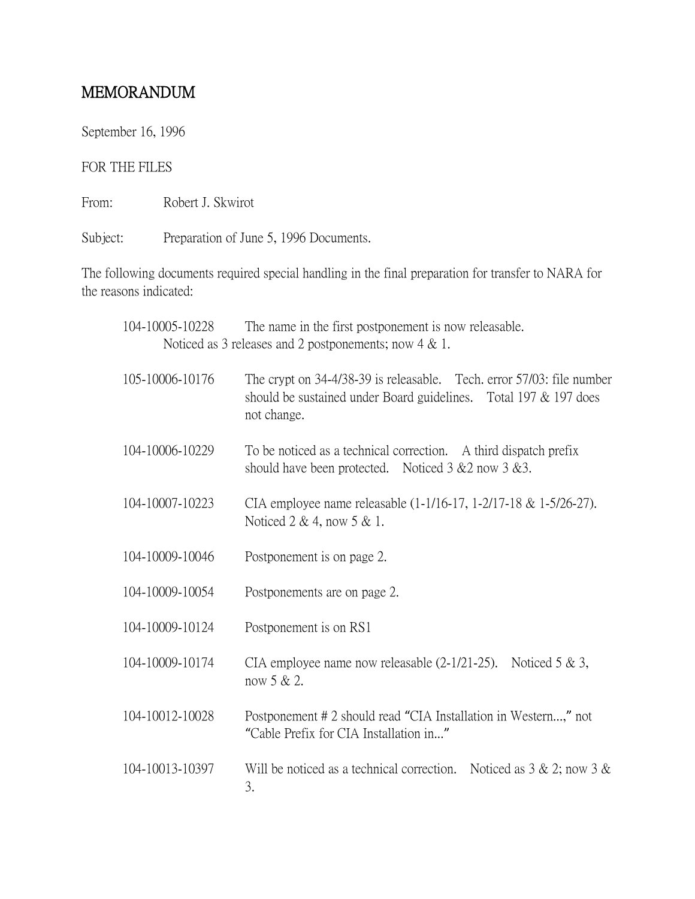## MEMORANDUM

September 16, 1996

## FOR THE FILES

From: Robert J. Skwirot

Subject: Preparation of June 5, 1996 Documents.

The following documents required special handling in the final preparation for transfer to NARA for the reasons indicated:

| 104-10005-10228                                           | The name in the first postponement is now releasable.                                                                                                       |
|-----------------------------------------------------------|-------------------------------------------------------------------------------------------------------------------------------------------------------------|
| Noticed as 3 releases and 2 postponements; now $4 \& 1$ . |                                                                                                                                                             |
| 105-10006-10176                                           | The crypt on 34-4/38-39 is releasable. Tech. error 57/03: file number<br>should be sustained under Board guidelines. Total $197 \& 197$ does<br>not change. |
| 104-10006-10229                                           | To be noticed as a technical correction. A third dispatch prefix<br>should have been protected. Noticed $3 \& 2$ now $3 \& 3$ .                             |
| 104-10007-10223                                           | CIA employee name releasable (1-1/16-17, 1-2/17-18 & 1-5/26-27).<br>Noticed $2 \& 4$ , now $5 \& 1$ .                                                       |
| 104-10009-10046                                           | Postponement is on page 2.                                                                                                                                  |
| 104-10009-10054                                           | Postponements are on page 2.                                                                                                                                |
| 104-10009-10124                                           | Postponement is on RS1                                                                                                                                      |
| 104-10009-10174                                           | CIA employee name now releasable $(2-1/21-25)$ . Noticed 5 & 3,<br>now 5 & 2.                                                                               |
| 104-10012-10028                                           | Postponement # 2 should read "CIA Installation in Western," not<br>"Cable Prefix for CIA Installation in"                                                   |
| 104-10013-10397                                           | Will be noticed as a technical correction. Noticed as $3 \& 2$ ; now $3 \& 1$<br>3.                                                                         |